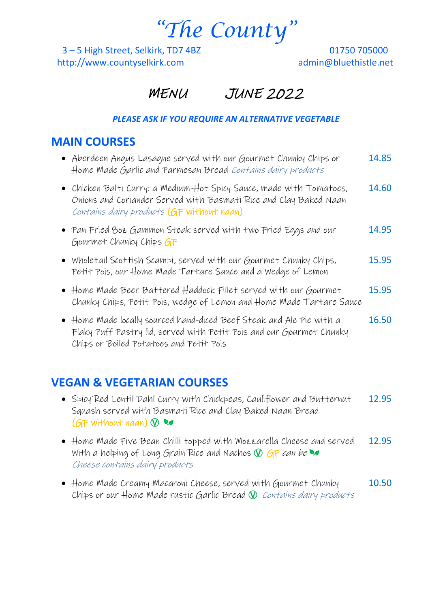*"The County"*

3 – 5 High Street, Selkirk, TD7 4BZ 01750 705000 http://www.countyselkirk.com admin@bluethistle.net

# MENU JUNE 2022

#### *PLEASE ASK IF YOU REQUIRE AN ALTERNATIVE VEGETABLE*

### **MAIN COURSES**

| • Aberdeen Angus Lasagne served with our Gourmet Chunky Chips or<br>Home Made Garlic and Parmesan Bread Contains dairy products                                                                 | 14.85 |
|-------------------------------------------------------------------------------------------------------------------------------------------------------------------------------------------------|-------|
| • Chicken Balti Curry: a Medium-Hot Spicy Sauce, made with Tomatoes,<br>Onions and Coriander Served with Basmati Rice and Clay Baked Naan<br>Contains dairy products (GF without naan)          | 14.60 |
| • Pan Fried Boz Gammon Steak served with two Fried Eggs and our<br>Gourmet Chunky Chips GF                                                                                                      | 14.95 |
| • Wholetail Scottish Scampi, served with our Gourmet Chunky Chips,<br>Petit Pois, our Home Made Tartare Sauce and a Wedge of Lemon                                                              | 15.95 |
| • Home Made Beer Battered Haddock Fillet served with our Gourmet<br>Chunky Chips, Petit Pois, wedge of Lemon and Home Made Tartare Sauce                                                        | 15.95 |
| $\bullet$ Home Made locally sourced hand-diced Beef Steak and Ale Pie with a<br>Flaky Puff Pastry lid, served with Petit Pois and our Gourmet Chunky<br>Chips or Boiled Potatoes and Petit Pois | 16.50 |
|                                                                                                                                                                                                 |       |

# **VEGAN & VEGETARIAN COURSES**

- Spicy Red Lentil Dahl Curry with Chickpeas, Cauliflower and Butternut 12.95 Squash served with Basmati Rice and Clay Baked Naan Bread  $(GF$  without naan)  $\mathcal{D}$
- Home Made Five Bean Chilli topped with Mozzarella Cheese and served 12.95 With a helping of Long Grain Rice and Nachos  $\mathcal{D}$  GF can be Cheese contains dairy products
- Home Made Creamy Macaroni Cheese, served with Gourmet Chunky 10.50 Chips or our Home Made rustic Garlic Bread  $\mathcal D$  Contains dairy products